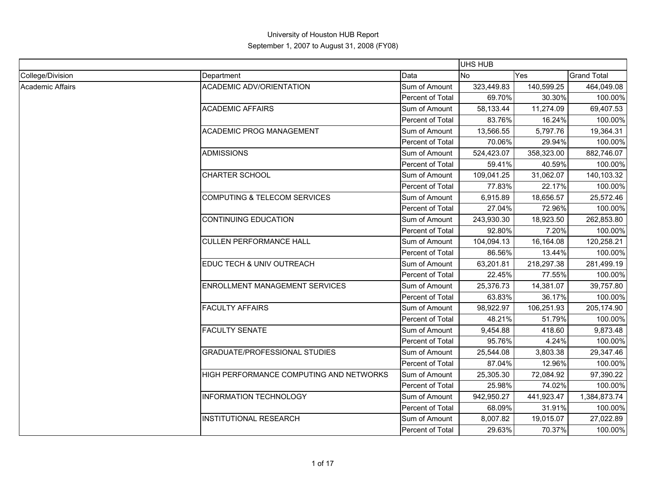|                  |                                         |                  | <b>UHS HUB</b> |            |                    |
|------------------|-----------------------------------------|------------------|----------------|------------|--------------------|
| College/Division | Department                              | Data             | <b>No</b>      | Yes        | <b>Grand Total</b> |
| Academic Affairs | <b>ACADEMIC ADV/ORIENTATION</b>         | Sum of Amount    | 323,449.83     | 140,599.25 | 464,049.08         |
|                  |                                         | Percent of Total | 69.70%         | 30.30%     | 100.00%            |
|                  | <b>ACADEMIC AFFAIRS</b>                 | Sum of Amount    | 58,133.44      | 11,274.09  | 69,407.53          |
|                  |                                         | Percent of Total | 83.76%         | 16.24%     | 100.00%            |
|                  | <b>ACADEMIC PROG MANAGEMENT</b>         | Sum of Amount    | 13,566.55      | 5,797.76   | 19,364.31          |
|                  |                                         | Percent of Total | 70.06%         | 29.94%     | 100.00%            |
|                  | <b>ADMISSIONS</b>                       | Sum of Amount    | 524,423.07     | 358,323.00 | 882,746.07         |
|                  |                                         | Percent of Total | 59.41%         | 40.59%     | 100.00%            |
|                  | CHARTER SCHOOL                          | Sum of Amount    | 109,041.25     | 31,062.07  | 140,103.32         |
|                  |                                         | Percent of Total | 77.83%         | 22.17%     | 100.00%            |
|                  | <b>COMPUTING &amp; TELECOM SERVICES</b> | Sum of Amount    | 6,915.89       | 18,656.57  | 25,572.46          |
|                  |                                         | Percent of Total | 27.04%         | 72.96%     | 100.00%            |
|                  | <b>CONTINUING EDUCATION</b>             | Sum of Amount    | 243,930.30     | 18,923.50  | 262,853.80         |
|                  |                                         | Percent of Total | 92.80%         | 7.20%      | 100.00%            |
|                  | <b>CULLEN PERFORMANCE HALL</b>          | Sum of Amount    | 104,094.13     | 16,164.08  | 120,258.21         |
|                  |                                         | Percent of Total | 86.56%         | 13.44%     | 100.00%            |
|                  | EDUC TECH & UNIV OUTREACH               | Sum of Amount    | 63,201.81      | 218,297.38 | 281,499.19         |
|                  |                                         | Percent of Total | 22.45%         | 77.55%     | 100.00%            |
|                  | <b>ENROLLMENT MANAGEMENT SERVICES</b>   | Sum of Amount    | 25,376.73      | 14,381.07  | 39,757.80          |
|                  |                                         | Percent of Total | 63.83%         | 36.17%     | 100.00%            |
|                  | <b>FACULTY AFFAIRS</b>                  | Sum of Amount    | 98,922.97      | 106,251.93 | 205,174.90         |
|                  |                                         | Percent of Total | 48.21%         | 51.79%     | 100.00%            |
|                  | <b>FACULTY SENATE</b>                   | Sum of Amount    | 9,454.88       | 418.60     | 9,873.48           |
|                  |                                         | Percent of Total | 95.76%         | 4.24%      | 100.00%            |
|                  | <b>GRADUATE/PROFESSIONAL STUDIES</b>    | Sum of Amount    | 25,544.08      | 3,803.38   | 29,347.46          |
|                  |                                         | Percent of Total | 87.04%         | 12.96%     | 100.00%            |
|                  | HIGH PERFORMANCE COMPUTING AND NETWORKS | Sum of Amount    | 25,305.30      | 72,084.92  | 97,390.22          |
|                  |                                         | Percent of Total | 25.98%         | 74.02%     | 100.00%            |
|                  | <b>INFORMATION TECHNOLOGY</b>           | Sum of Amount    | 942,950.27     | 441,923.47 | 1,384,873.74       |
|                  |                                         | Percent of Total | 68.09%         | 31.91%     | 100.00%            |
|                  | <b>INSTITUTIONAL RESEARCH</b>           | Sum of Amount    | 8,007.82       | 19,015.07  | 27,022.89          |
|                  |                                         | Percent of Total | 29.63%         | 70.37%     | 100.00%            |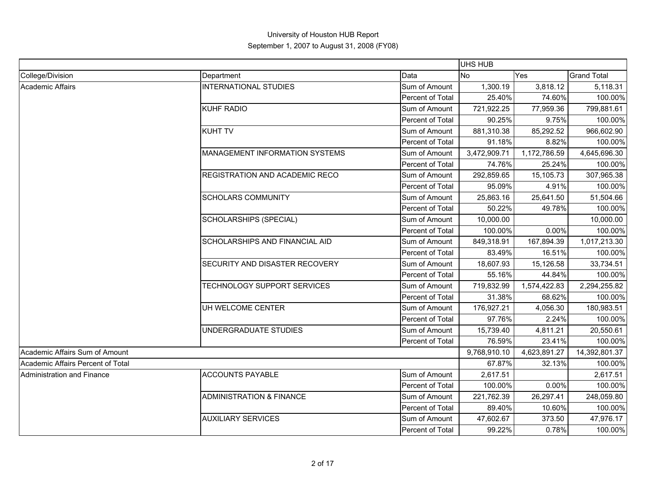|                                   |                                       |                  | <b>UHS HUB</b> |              |                    |
|-----------------------------------|---------------------------------------|------------------|----------------|--------------|--------------------|
| College/Division                  | Department                            | Data             | <b>No</b>      | Yes          | <b>Grand Total</b> |
| Academic Affairs                  | <b>INTERNATIONAL STUDIES</b>          | Sum of Amount    | 1,300.19       | 3,818.12     | 5,118.31           |
|                                   |                                       | Percent of Total | 25.40%         | 74.60%       | 100.00%            |
|                                   | <b>KUHF RADIO</b>                     | Sum of Amount    | 721,922.25     | 77,959.36    | 799,881.61         |
|                                   |                                       | Percent of Total | 90.25%         | 9.75%        | 100.00%            |
|                                   | <b>KUHT TV</b>                        | Sum of Amount    | 881,310.38     | 85,292.52    | 966,602.90         |
|                                   |                                       | Percent of Total | 91.18%         | 8.82%        | 100.00%            |
|                                   | MANAGEMENT INFORMATION SYSTEMS        | Sum of Amount    | 3,472,909.71   | 1,172,786.59 | 4,645,696.30       |
|                                   |                                       | Percent of Total | 74.76%         | 25.24%       | 100.00%            |
|                                   | REGISTRATION AND ACADEMIC RECO        | Sum of Amount    | 292,859.65     | 15,105.73    | 307,965.38         |
|                                   |                                       | Percent of Total | 95.09%         | 4.91%        | 100.00%            |
|                                   | <b>SCHOLARS COMMUNITY</b>             | Sum of Amount    | 25,863.16      | 25,641.50    | 51,504.66          |
|                                   |                                       | Percent of Total | 50.22%         | 49.78%       | 100.00%            |
|                                   | <b>SCHOLARSHIPS (SPECIAL)</b>         | Sum of Amount    | 10,000.00      |              | 10,000.00          |
|                                   |                                       | Percent of Total | 100.00%        | 0.00%        | 100.00%            |
|                                   | <b>SCHOLARSHIPS AND FINANCIAL AID</b> | Sum of Amount    | 849,318.91     | 167,894.39   | 1,017,213.30       |
|                                   |                                       | Percent of Total | 83.49%         | 16.51%       | 100.00%            |
|                                   | SECURITY AND DISASTER RECOVERY        | Sum of Amount    | 18,607.93      | 15,126.58    | 33,734.51          |
|                                   |                                       | Percent of Total | 55.16%         | 44.84%       | 100.00%            |
|                                   | TECHNOLOGY SUPPORT SERVICES           | Sum of Amount    | 719,832.99     | 1,574,422.83 | 2,294,255.82       |
|                                   |                                       | Percent of Total | 31.38%         | 68.62%       | 100.00%            |
|                                   | UH WELCOME CENTER                     | Sum of Amount    | 176,927.21     | 4,056.30     | 180,983.51         |
|                                   |                                       | Percent of Total | 97.76%         | 2.24%        | 100.00%            |
|                                   | UNDERGRADUATE STUDIES                 | Sum of Amount    | 15,739.40      | 4,811.21     | 20,550.61          |
|                                   |                                       | Percent of Total | 76.59%         | 23.41%       | 100.00%            |
| Academic Affairs Sum of Amount    |                                       |                  | 9,768,910.10   | 4,623,891.27 | 14,392,801.37      |
| Academic Affairs Percent of Total |                                       |                  | 67.87%         | 32.13%       | 100.00%            |
| Administration and Finance        | <b>ACCOUNTS PAYABLE</b>               | Sum of Amount    | 2,617.51       |              | 2,617.51           |
|                                   |                                       | Percent of Total | 100.00%        | 0.00%        | 100.00%            |
|                                   | <b>ADMINISTRATION &amp; FINANCE</b>   | Sum of Amount    | 221,762.39     | 26,297.41    | 248,059.80         |
|                                   |                                       | Percent of Total | 89.40%         | 10.60%       | 100.00%            |
|                                   | <b>AUXILIARY SERVICES</b>             | Sum of Amount    | 47,602.67      | 373.50       | 47,976.17          |
|                                   |                                       | Percent of Total | 99.22%         | 0.78%        | 100.00%            |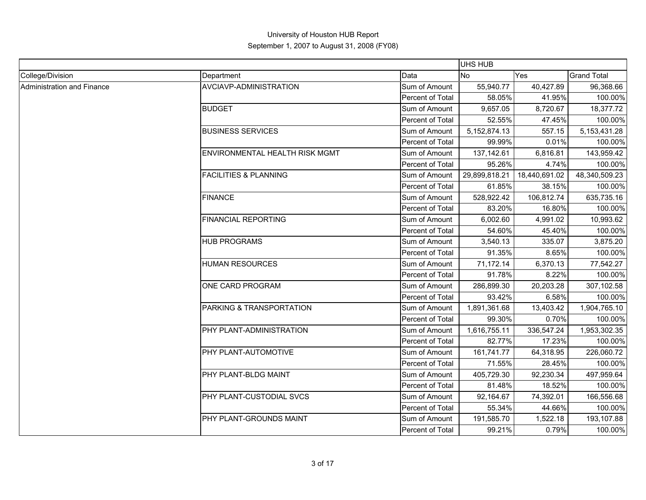|                            |                                  |                  | <b>UHS HUB</b>  |               |                    |
|----------------------------|----------------------------------|------------------|-----------------|---------------|--------------------|
| College/Division           | Department                       | Data             | <b>No</b>       | Yes           | <b>Grand Total</b> |
| Administration and Finance | AVCIAVP-ADMINISTRATION           | Sum of Amount    | 55,940.77       | 40,427.89     | 96,368.66          |
|                            |                                  | Percent of Total | 58.05%          | 41.95%        | 100.00%            |
|                            | <b>BUDGET</b>                    | Sum of Amount    | 9,657.05        | 8,720.67      | 18,377.72          |
|                            |                                  | Percent of Total | 52.55%          | 47.45%        | 100.00%            |
|                            | <b>BUSINESS SERVICES</b>         | Sum of Amount    | 5, 152, 874. 13 | 557.15        | 5, 153, 431. 28    |
|                            |                                  | Percent of Total | 99.99%          | 0.01%         | 100.00%            |
|                            | ENVIRONMENTAL HEALTH RISK MGMT   | Sum of Amount    | 137,142.61      | 6,816.81      | 143,959.42         |
|                            |                                  | Percent of Total | 95.26%          | 4.74%         | 100.00%            |
|                            | <b>FACILITIES &amp; PLANNING</b> | Sum of Amount    | 29,899,818.21   | 18,440,691.02 | 48,340,509.23      |
|                            |                                  | Percent of Total | 61.85%          | 38.15%        | 100.00%            |
|                            | <b>FINANCE</b>                   | Sum of Amount    | 528,922.42      | 106,812.74    | 635,735.16         |
|                            |                                  | Percent of Total | 83.20%          | 16.80%        | 100.00%            |
|                            | <b>FINANCIAL REPORTING</b>       | Sum of Amount    | 6,002.60        | 4,991.02      | 10,993.62          |
|                            |                                  | Percent of Total | 54.60%          | 45.40%        | 100.00%            |
|                            | <b>HUB PROGRAMS</b>              | Sum of Amount    | 3,540.13        | 335.07        | 3,875.20           |
|                            |                                  | Percent of Total | 91.35%          | 8.65%         | 100.00%            |
|                            | <b>HUMAN RESOURCES</b>           | Sum of Amount    | 71,172.14       | 6,370.13      | 77,542.27          |
|                            |                                  | Percent of Total | 91.78%          | 8.22%         | 100.00%            |
|                            | ONE CARD PROGRAM                 | Sum of Amount    | 286,899.30      | 20,203.28     | 307,102.58         |
|                            |                                  | Percent of Total | 93.42%          | 6.58%         | 100.00%            |
|                            | PARKING & TRANSPORTATION         | Sum of Amount    | 1,891,361.68    | 13,403.42     | 1,904,765.10       |
|                            |                                  | Percent of Total | 99.30%          | 0.70%         | 100.00%            |
|                            | PHY PLANT-ADMINISTRATION         | Sum of Amount    | 1,616,755.11    | 336,547.24    | 1,953,302.35       |
|                            |                                  | Percent of Total | 82.77%          | 17.23%        | 100.00%            |
|                            | PHY PLANT-AUTOMOTIVE             | Sum of Amount    | 161,741.77      | 64,318.95     | 226,060.72         |
|                            |                                  | Percent of Total | 71.55%          | 28.45%        | 100.00%            |
|                            | PHY PLANT-BLDG MAINT             | Sum of Amount    | 405,729.30      | 92,230.34     | 497,959.64         |
|                            |                                  | Percent of Total | 81.48%          | 18.52%        | 100.00%            |
|                            | PHY PLANT-CUSTODIAL SVCS         | Sum of Amount    | 92,164.67       | 74,392.01     | 166,556.68         |
|                            |                                  | Percent of Total | 55.34%          | 44.66%        | 100.00%            |
|                            | PHY PLANT-GROUNDS MAINT          | Sum of Amount    | 191,585.70      | 1,522.18      | 193,107.88         |
|                            |                                  | Percent of Total | 99.21%          | 0.79%         | 100.00%            |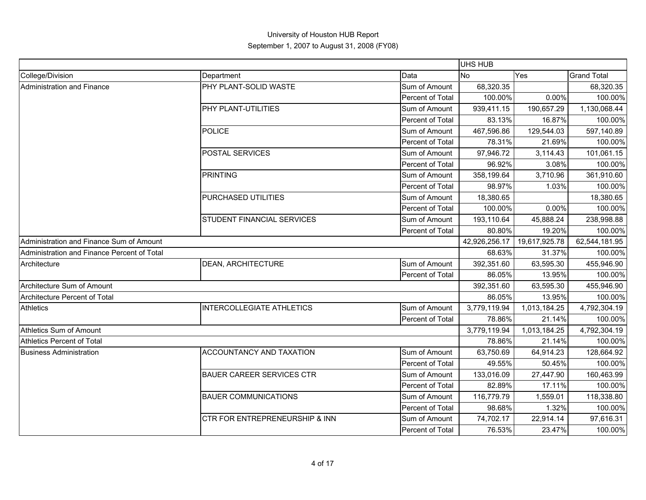|                                             |                                  |                  | UHS HUB       |               |                    |
|---------------------------------------------|----------------------------------|------------------|---------------|---------------|--------------------|
| College/Division                            | Department                       | Data             | No            | Yes           | <b>Grand Total</b> |
| Administration and Finance                  | PHY PLANT-SOLID WASTE            | Sum of Amount    | 68,320.35     |               | 68,320.35          |
|                                             |                                  | Percent of Total | 100.00%       | 0.00%         | 100.00%            |
|                                             | PHY PLANT-UTILITIES              | Sum of Amount    | 939,411.15    | 190,657.29    | 1,130,068.44       |
|                                             |                                  | Percent of Total | 83.13%        | 16.87%        | 100.00%            |
|                                             | <b>POLICE</b>                    | Sum of Amount    | 467,596.86    | 129,544.03    | 597,140.89         |
|                                             |                                  | Percent of Total | 78.31%        | 21.69%        | 100.00%            |
|                                             | POSTAL SERVICES                  | Sum of Amount    | 97,946.72     | 3,114.43      | 101,061.15         |
|                                             |                                  | Percent of Total | 96.92%        | 3.08%         | 100.00%            |
|                                             | <b>PRINTING</b>                  | Sum of Amount    | 358,199.64    | 3,710.96      | 361,910.60         |
|                                             |                                  | Percent of Total | 98.97%        | 1.03%         | 100.00%            |
|                                             | PURCHASED UTILITIES              | Sum of Amount    | 18,380.65     |               | 18,380.65          |
|                                             |                                  | Percent of Total | 100.00%       | 0.00%         | 100.00%            |
|                                             | STUDENT FINANCIAL SERVICES       | Sum of Amount    | 193,110.64    | 45,888.24     | 238,998.88         |
|                                             |                                  | Percent of Total | 80.80%        | 19.20%        | 100.00%            |
| Administration and Finance Sum of Amount    |                                  |                  | 42,926,256.17 | 19,617,925.78 | 62,544,181.95      |
| Administration and Finance Percent of Total |                                  |                  | 68.63%        | 31.37%        | 100.00%            |
| Architecture                                | <b>DEAN, ARCHITECTURE</b>        | Sum of Amount    | 392,351.60    | 63,595.30     | 455,946.90         |
|                                             |                                  | Percent of Total | 86.05%        | 13.95%        | 100.00%            |
| Architecture Sum of Amount                  |                                  |                  | 392,351.60    | 63,595.30     | 455,946.90         |
| Architecture Percent of Total               |                                  |                  | 86.05%        | 13.95%        | 100.00%            |
| <b>Athletics</b>                            | <b>INTERCOLLEGIATE ATHLETICS</b> | Sum of Amount    | 3,779,119.94  | 1,013,184.25  | 4,792,304.19       |
|                                             |                                  | Percent of Total | 78.86%        | 21.14%        | 100.00%            |
| Athletics Sum of Amount                     |                                  |                  | 3,779,119.94  | 1,013,184.25  | 4,792,304.19       |
| Athletics Percent of Total                  |                                  |                  | 78.86%        | 21.14%        | 100.00%            |
| <b>Business Administration</b>              | ACCOUNTANCY AND TAXATION         | Sum of Amount    | 63,750.69     | 64,914.23     | 128,664.92         |
|                                             |                                  | Percent of Total | 49.55%        | 50.45%        | 100.00%            |
|                                             | <b>BAUER CAREER SERVICES CTR</b> | Sum of Amount    | 133,016.09    | 27,447.90     | 160,463.99         |
|                                             |                                  | Percent of Total | 82.89%        | 17.11%        | 100.00%            |
|                                             | <b>BAUER COMMUNICATIONS</b>      | Sum of Amount    | 116,779.79    | 1,559.01      | 118,338.80         |
|                                             |                                  | Percent of Total | 98.68%        | 1.32%         | 100.00%            |
|                                             | CTR FOR ENTREPRENEURSHIP & INN   | Sum of Amount    | 74,702.17     | 22,914.14     | 97,616.31          |
|                                             |                                  | Percent of Total | 76.53%        | 23.47%        | 100.00%            |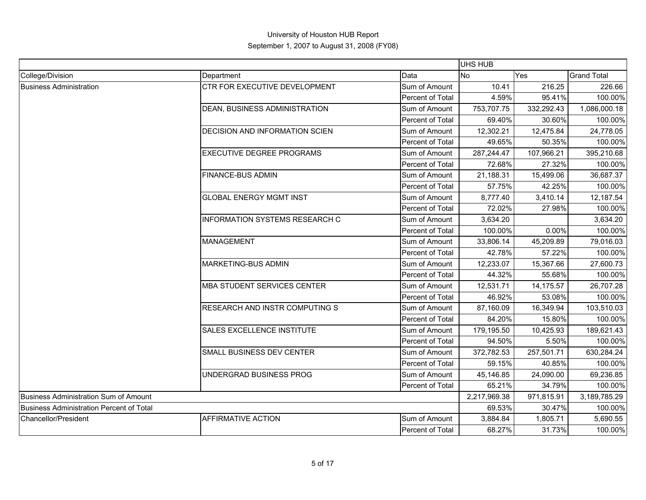|                                          |                                       |                  | <b>UHS HUB</b> |            |                    |
|------------------------------------------|---------------------------------------|------------------|----------------|------------|--------------------|
| College/Division                         | Department                            | Data             | <b>No</b>      | Yes        | <b>Grand Total</b> |
| <b>Business Administration</b>           | CTR FOR EXECUTIVE DEVELOPMENT         | Sum of Amount    | 10.41          | 216.25     | 226.66             |
|                                          |                                       | Percent of Total | 4.59%          | 95.41%     | 100.00%            |
|                                          | DEAN, BUSINESS ADMINISTRATION         | Sum of Amount    | 753,707.75     | 332,292.43 | 1,086,000.18       |
|                                          |                                       | Percent of Total | 69.40%         | 30.60%     | 100.00%            |
|                                          | <b>DECISION AND INFORMATION SCIEN</b> | Sum of Amount    | 12,302.21      | 12,475.84  | 24,778.05          |
|                                          |                                       | Percent of Total | 49.65%         | 50.35%     | 100.00%            |
|                                          | <b>EXECUTIVE DEGREE PROGRAMS</b>      | Sum of Amount    | 287,244.47     | 107,966.21 | 395,210.68         |
|                                          |                                       | Percent of Total | 72.68%         | 27.32%     | 100.00%            |
|                                          | <b>FINANCE-BUS ADMIN</b>              | Sum of Amount    | 21,188.31      | 15,499.06  | 36,687.37          |
|                                          |                                       | Percent of Total | 57.75%         | 42.25%     | 100.00%            |
|                                          | <b>GLOBAL ENERGY MGMT INST</b>        | Sum of Amount    | 8,777.40       | 3,410.14   | 12,187.54          |
|                                          |                                       | Percent of Total | 72.02%         | 27.98%     | 100.00%            |
|                                          | <b>INFORMATION SYSTEMS RESEARCH C</b> | Sum of Amount    | 3,634.20       |            | 3,634.20           |
|                                          |                                       | Percent of Total | 100.00%        | 0.00%      | 100.00%            |
|                                          | <b>MANAGEMENT</b>                     | Sum of Amount    | 33,806.14      | 45,209.89  | 79,016.03          |
|                                          |                                       | Percent of Total | 42.78%         | 57.22%     | 100.00%            |
|                                          | <b>MARKETING-BUS ADMIN</b>            | Sum of Amount    | 12,233.07      | 15,367.66  | 27,600.73          |
|                                          |                                       | Percent of Total | 44.32%         | 55.68%     | 100.00%            |
|                                          | <b>MBA STUDENT SERVICES CENTER</b>    | Sum of Amount    | 12,531.71      | 14,175.57  | 26,707.28          |
|                                          |                                       | Percent of Total | 46.92%         | 53.08%     | 100.00%            |
|                                          | RESEARCH AND INSTR COMPUTING S        | Sum of Amount    | 87,160.09      | 16,349.94  | 103,510.03         |
|                                          |                                       | Percent of Total | 84.20%         | 15.80%     | 100.00%            |
|                                          | <b>SALES EXCELLENCE INSTITUTE</b>     | Sum of Amount    | 179,195.50     | 10,425.93  | 189,621.43         |
|                                          |                                       | Percent of Total | 94.50%         | 5.50%      | 100.00%            |
|                                          | SMALL BUSINESS DEV CENTER             | Sum of Amount    | 372,782.53     | 257,501.71 | 630,284.24         |
|                                          |                                       | Percent of Total | 59.15%         | 40.85%     | 100.00%            |
|                                          | UNDERGRAD BUSINESS PROG               | Sum of Amount    | 45,146.85      | 24,090.00  | 69,236.85          |
|                                          |                                       | Percent of Total | 65.21%         | 34.79%     | 100.00%            |
| Business Administration Sum of Amount    |                                       |                  | 2,217,969.38   | 971,815.91 | 3,189,785.29       |
| Business Administration Percent of Total |                                       |                  | 69.53%         | 30.47%     | 100.00%            |
| Chancellor/President                     | <b>AFFIRMATIVE ACTION</b>             | Sum of Amount    | 3,884.84       | 1,805.71   | 5,690.55           |
|                                          |                                       | Percent of Total | 68.27%         | 31.73%     | 100.00%            |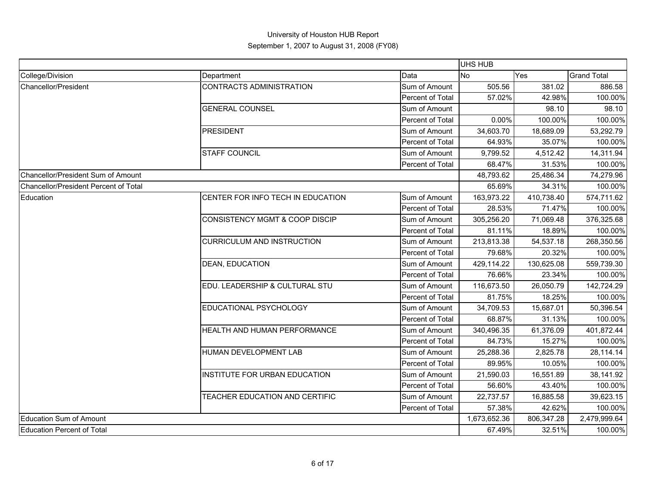|                                       |                                       |                  | <b>UHS HUB</b> |            |                    |
|---------------------------------------|---------------------------------------|------------------|----------------|------------|--------------------|
| College/Division                      | Department                            | Data             | <b>No</b>      | Yes        | <b>Grand Total</b> |
| Chancellor/President                  | <b>CONTRACTS ADMINISTRATION</b>       | Sum of Amount    | 505.56         | 381.02     | 886.58             |
|                                       |                                       | Percent of Total | 57.02%         | 42.98%     | 100.00%            |
|                                       | <b>GENERAL COUNSEL</b>                | Sum of Amount    |                | 98.10      | 98.10              |
|                                       |                                       | Percent of Total | 0.00%          | 100.00%    | 100.00%            |
|                                       | PRESIDENT                             | Sum of Amount    | 34,603.70      | 18,689.09  | 53,292.79          |
|                                       |                                       | Percent of Total | 64.93%         | 35.07%     | 100.00%            |
|                                       | <b>STAFF COUNCIL</b>                  | Sum of Amount    | 9,799.52       | 4,512.42   | 14,311.94          |
|                                       |                                       | Percent of Total | 68.47%         | 31.53%     | 100.00%            |
| Chancellor/President Sum of Amount    |                                       |                  | 48,793.62      | 25,486.34  | 74,279.96          |
| Chancellor/President Percent of Total |                                       |                  | 65.69%         | 34.31%     | 100.00%            |
| Education                             | CENTER FOR INFO TECH IN EDUCATION     | Sum of Amount    | 163,973.22     | 410,738.40 | 574,711.62         |
|                                       |                                       | Percent of Total | 28.53%         | 71.47%     | 100.00%            |
|                                       | CONSISTENCY MGMT & COOP DISCIP        | Sum of Amount    | 305,256.20     | 71,069.48  | 376,325.68         |
|                                       |                                       | Percent of Total | 81.11%         | 18.89%     | 100.00%            |
|                                       | <b>CURRICULUM AND INSTRUCTION</b>     | Sum of Amount    | 213,813.38     | 54,537.18  | 268,350.56         |
|                                       |                                       | Percent of Total | 79.68%         | 20.32%     | 100.00%            |
|                                       | <b>DEAN, EDUCATION</b>                | Sum of Amount    | 429,114.22     | 130,625.08 | 559,739.30         |
|                                       |                                       | Percent of Total | 76.66%         | 23.34%     | 100.00%            |
|                                       | EDU. LEADERSHIP & CULTURAL STU        | Sum of Amount    | 116,673.50     | 26,050.79  | 142,724.29         |
|                                       |                                       | Percent of Total | 81.75%         | 18.25%     | 100.00%            |
|                                       | EDUCATIONAL PSYCHOLOGY                | Sum of Amount    | 34,709.53      | 15,687.01  | 50,396.54          |
|                                       |                                       | Percent of Total | 68.87%         | 31.13%     | 100.00%            |
|                                       | <b>HEALTH AND HUMAN PERFORMANCE</b>   | Sum of Amount    | 340,496.35     | 61,376.09  | 401,872.44         |
|                                       |                                       | Percent of Total | 84.73%         | 15.27%     | 100.00%            |
|                                       | HUMAN DEVELOPMENT LAB                 | Sum of Amount    | 25,288.36      | 2,825.78   | 28,114.14          |
|                                       |                                       | Percent of Total | 89.95%         | 10.05%     | 100.00%            |
|                                       | INSTITUTE FOR URBAN EDUCATION         | Sum of Amount    | 21,590.03      | 16,551.89  | 38,141.92          |
|                                       |                                       | Percent of Total | 56.60%         | 43.40%     | 100.00%            |
|                                       | <b>TEACHER EDUCATION AND CERTIFIC</b> | Sum of Amount    | 22,737.57      | 16,885.58  | 39,623.15          |
|                                       |                                       | Percent of Total | 57.38%         | 42.62%     | 100.00%            |
| <b>Education Sum of Amount</b>        |                                       |                  | 1,673,652.36   | 806,347.28 | 2,479,999.64       |
| <b>Education Percent of Total</b>     |                                       |                  | 67.49%         | 32.51%     | 100.00%            |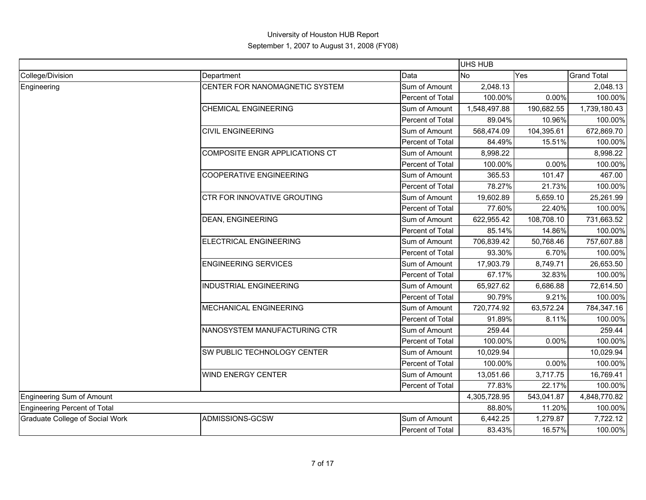|                                 |                                |                  | <b>UHS HUB</b> |            |                    |
|---------------------------------|--------------------------------|------------------|----------------|------------|--------------------|
| College/Division                | Department                     | Data             | <b>No</b>      | Yes        | <b>Grand Total</b> |
| Engineering                     | CENTER FOR NANOMAGNETIC SYSTEM | Sum of Amount    | 2,048.13       |            | 2,048.13           |
|                                 |                                | Percent of Total | 100.00%        | 0.00%      | 100.00%            |
|                                 | <b>CHEMICAL ENGINEERING</b>    | Sum of Amount    | 1,548,497.88   | 190,682.55 | 1,739,180.43       |
|                                 |                                | Percent of Total | 89.04%         | 10.96%     | 100.00%            |
|                                 | <b>CIVIL ENGINEERING</b>       | Sum of Amount    | 568,474.09     | 104,395.61 | 672,869.70         |
|                                 |                                | Percent of Total | 84.49%         | 15.51%     | 100.00%            |
|                                 | COMPOSITE ENGR APPLICATIONS CT | Sum of Amount    | 8,998.22       |            | 8,998.22           |
|                                 |                                | Percent of Total | 100.00%        | 0.00%      | 100.00%            |
|                                 | <b>COOPERATIVE ENGINEERING</b> | Sum of Amount    | 365.53         | 101.47     | 467.00             |
|                                 |                                | Percent of Total | 78.27%         | 21.73%     | 100.00%            |
|                                 | CTR FOR INNOVATIVE GROUTING    | Sum of Amount    | 19,602.89      | 5,659.10   | 25,261.99          |
|                                 |                                | Percent of Total | 77.60%         | 22.40%     | 100.00%            |
|                                 | <b>DEAN, ENGINEERING</b>       | Sum of Amount    | 622,955.42     | 108,708.10 | 731,663.52         |
|                                 |                                | Percent of Total | 85.14%         | 14.86%     | 100.00%            |
|                                 | <b>ELECTRICAL ENGINEERING</b>  | Sum of Amount    | 706,839.42     | 50,768.46  | 757,607.88         |
|                                 |                                | Percent of Total | 93.30%         | 6.70%      | 100.00%            |
|                                 | <b>ENGINEERING SERVICES</b>    | Sum of Amount    | 17,903.79      | 8,749.71   | 26,653.50          |
|                                 |                                | Percent of Total | 67.17%         | 32.83%     | 100.00%            |
|                                 | <b>INDUSTRIAL ENGINEERING</b>  | Sum of Amount    | 65,927.62      | 6,686.88   | 72,614.50          |
|                                 |                                | Percent of Total | 90.79%         | 9.21%      | 100.00%            |
|                                 | <b>MECHANICAL ENGINEERING</b>  | Sum of Amount    | 720,774.92     | 63,572.24  | 784,347.16         |
|                                 |                                | Percent of Total | 91.89%         | 8.11%      | 100.00%            |
|                                 | NANOSYSTEM MANUFACTURING CTR   | Sum of Amount    | 259.44         |            | 259.44             |
|                                 |                                | Percent of Total | 100.00%        | 0.00%      | 100.00%            |
|                                 | SW PUBLIC TECHNOLOGY CENTER    | Sum of Amount    | 10,029.94      |            | 10,029.94          |
|                                 |                                | Percent of Total | 100.00%        | 0.00%      | 100.00%            |
|                                 | <b>WIND ENERGY CENTER</b>      | Sum of Amount    | 13,051.66      | 3,717.75   | 16,769.41          |
|                                 |                                | Percent of Total | 77.83%         | 22.17%     | 100.00%            |
| Engineering Sum of Amount       |                                |                  | 4,305,728.95   | 543,041.87 | 4,848,770.82       |
| Engineering Percent of Total    |                                |                  | 88.80%         | 11.20%     | 100.00%            |
| Graduate College of Social Work | ADMISSIONS-GCSW                | Sum of Amount    | 6,442.25       | 1,279.87   | 7,722.12           |
|                                 |                                | Percent of Total | 83.43%         | 16.57%     | 100.00%            |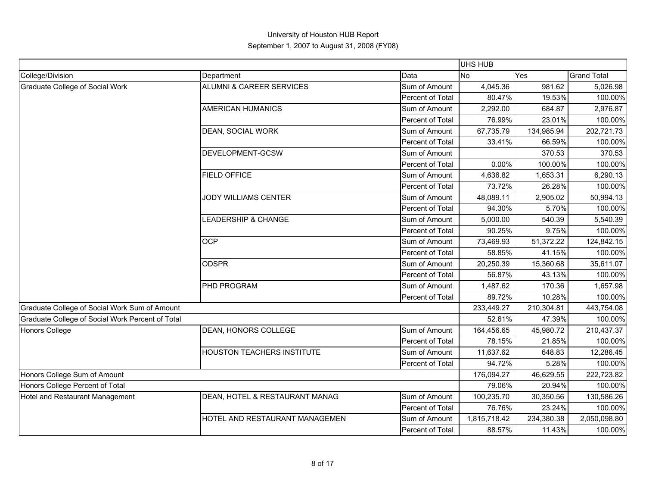|                                                  |                                     |                  | UHS HUB      |            |                    |
|--------------------------------------------------|-------------------------------------|------------------|--------------|------------|--------------------|
| College/Division                                 | Department                          | Data             | <b>No</b>    | Yes        | <b>Grand Total</b> |
| <b>Graduate College of Social Work</b>           | <b>ALUMNI &amp; CAREER SERVICES</b> | Sum of Amount    | 4,045.36     | 981.62     | 5,026.98           |
|                                                  |                                     | Percent of Total | 80.47%       | 19.53%     | 100.00%            |
|                                                  | <b>AMERICAN HUMANICS</b>            | Sum of Amount    | 2,292.00     | 684.87     | 2,976.87           |
|                                                  |                                     | Percent of Total | 76.99%       | 23.01%     | 100.00%            |
|                                                  | DEAN, SOCIAL WORK                   | Sum of Amount    | 67,735.79    | 134,985.94 | 202,721.73         |
|                                                  |                                     | Percent of Total | 33.41%       | 66.59%     | 100.00%            |
|                                                  | DEVELOPMENT-GCSW                    | Sum of Amount    |              | 370.53     | 370.53             |
|                                                  |                                     | Percent of Total | 0.00%        | 100.00%    | 100.00%            |
|                                                  | <b>FIELD OFFICE</b>                 | Sum of Amount    | 4,636.82     | 1,653.31   | 6,290.13           |
|                                                  |                                     | Percent of Total | 73.72%       | 26.28%     | 100.00%            |
|                                                  | <b>JODY WILLIAMS CENTER</b>         | Sum of Amount    | 48,089.11    | 2,905.02   | 50,994.13          |
|                                                  |                                     | Percent of Total | 94.30%       | 5.70%      | 100.00%            |
|                                                  | LEADERSHIP & CHANGE                 | Sum of Amount    | 5,000.00     | 540.39     | 5,540.39           |
|                                                  |                                     | Percent of Total | 90.25%       | 9.75%      | 100.00%            |
|                                                  | <b>OCP</b>                          | Sum of Amount    | 73,469.93    | 51,372.22  | 124,842.15         |
|                                                  |                                     | Percent of Total | 58.85%       | 41.15%     | 100.00%            |
|                                                  | <b>ODSPR</b>                        | Sum of Amount    | 20,250.39    | 15,360.68  | 35,611.07          |
|                                                  |                                     | Percent of Total | 56.87%       | 43.13%     | 100.00%            |
|                                                  | PHD PROGRAM                         | Sum of Amount    | 1,487.62     | 170.36     | 1,657.98           |
|                                                  |                                     | Percent of Total | 89.72%       | 10.28%     | 100.00%            |
| Graduate College of Social Work Sum of Amount    |                                     |                  | 233,449.27   | 210,304.81 | 443,754.08         |
| Graduate College of Social Work Percent of Total |                                     |                  | 52.61%       | 47.39%     | 100.00%            |
| <b>Honors College</b>                            | DEAN, HONORS COLLEGE                | Sum of Amount    | 164,456.65   | 45,980.72  | 210,437.37         |
|                                                  |                                     | Percent of Total | 78.15%       | 21.85%     | 100.00%            |
|                                                  | HOUSTON TEACHERS INSTITUTE          | Sum of Amount    | 11,637.62    | 648.83     | 12,286.45          |
|                                                  |                                     | Percent of Total | 94.72%       | 5.28%      | 100.00%            |
| Honors College Sum of Amount                     |                                     |                  | 176,094.27   | 46,629.55  | 222,723.82         |
| Honors College Percent of Total                  |                                     |                  | 79.06%       | 20.94%     | 100.00%            |
| Hotel and Restaurant Management                  | DEAN, HOTEL & RESTAURANT MANAG      | Sum of Amount    | 100,235.70   | 30,350.56  | 130,586.26         |
|                                                  |                                     | Percent of Total | 76.76%       | 23.24%     | 100.00%            |
|                                                  | HOTEL AND RESTAURANT MANAGEMEN      | Sum of Amount    | 1,815,718.42 | 234,380.38 | 2,050,098.80       |
|                                                  |                                     | Percent of Total | 88.57%       | 11.43%     | 100.00%            |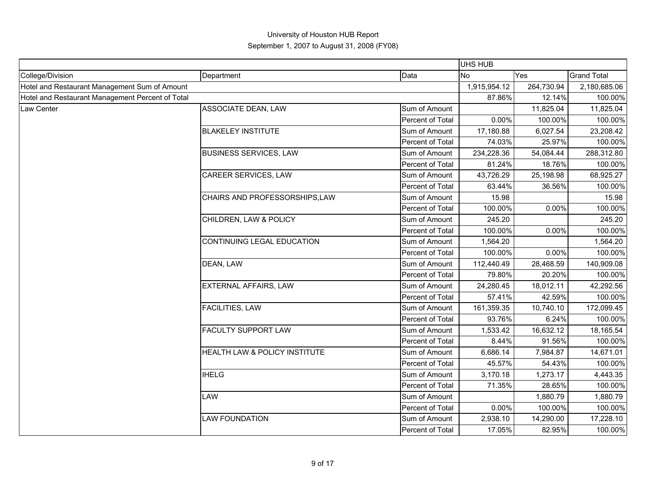|                                                  |                                |                  | <b>UHS HUB</b> |            |                    |
|--------------------------------------------------|--------------------------------|------------------|----------------|------------|--------------------|
| College/Division                                 | Department                     | Data             | <b>No</b>      | Yes        | <b>Grand Total</b> |
| Hotel and Restaurant Management Sum of Amount    |                                |                  | 1,915,954.12   | 264,730.94 | 2,180,685.06       |
| Hotel and Restaurant Management Percent of Total |                                |                  | 87.86%         | 12.14%     | 100.00%            |
| Law Center                                       | ASSOCIATE DEAN, LAW            | Sum of Amount    |                | 11,825.04  | 11,825.04          |
|                                                  |                                | Percent of Total | 0.00%          | 100.00%    | 100.00%            |
|                                                  | <b>BLAKELEY INSTITUTE</b>      | Sum of Amount    | 17,180.88      | 6,027.54   | 23,208.42          |
|                                                  |                                | Percent of Total | 74.03%         | 25.97%     | 100.00%            |
|                                                  | <b>BUSINESS SERVICES, LAW</b>  | Sum of Amount    | 234,228.36     | 54,084.44  | 288,312.80         |
|                                                  |                                | Percent of Total | 81.24%         | 18.76%     | 100.00%            |
|                                                  | CAREER SERVICES, LAW           | Sum of Amount    | 43,726.29      | 25,198.98  | 68,925.27          |
|                                                  |                                | Percent of Total | 63.44%         | 36.56%     | 100.00%            |
|                                                  | CHAIRS AND PROFESSORSHIPS, LAW | Sum of Amount    | 15.98          |            | 15.98              |
|                                                  |                                | Percent of Total | 100.00%        | 0.00%      | 100.00%            |
|                                                  | CHILDREN, LAW & POLICY         | Sum of Amount    | 245.20         |            | 245.20             |
|                                                  |                                | Percent of Total | 100.00%        | 0.00%      | 100.00%            |
|                                                  | CONTINUING LEGAL EDUCATION     | Sum of Amount    | 1,564.20       |            | 1,564.20           |
|                                                  |                                | Percent of Total | 100.00%        | 0.00%      | 100.00%            |
|                                                  | DEAN, LAW                      | Sum of Amount    | 112,440.49     | 28,468.59  | 140,909.08         |
|                                                  |                                | Percent of Total | 79.80%         | 20.20%     | 100.00%            |
|                                                  | <b>EXTERNAL AFFAIRS, LAW</b>   | Sum of Amount    | 24,280.45      | 18,012.11  | 42,292.56          |
|                                                  |                                | Percent of Total | 57.41%         | 42.59%     | 100.00%            |
|                                                  | <b>FACILITIES, LAW</b>         | Sum of Amount    | 161,359.35     | 10,740.10  | 172,099.45         |
|                                                  |                                | Percent of Total | 93.76%         | 6.24%      | 100.00%            |
|                                                  | <b>FACULTY SUPPORT LAW</b>     | Sum of Amount    | 1,533.42       | 16,632.12  | 18,165.54          |
|                                                  |                                | Percent of Total | 8.44%          | 91.56%     | 100.00%            |
|                                                  | HEALTH LAW & POLICY INSTITUTE  | Sum of Amount    | 6,686.14       | 7,984.87   | 14,671.01          |
|                                                  |                                | Percent of Total | 45.57%         | 54.43%     | 100.00%            |
|                                                  | <b>IHELG</b>                   | Sum of Amount    | 3,170.18       | 1,273.17   | 4,443.35           |
|                                                  |                                | Percent of Total | 71.35%         | 28.65%     | 100.00%            |
|                                                  | LAW                            | Sum of Amount    |                | 1,880.79   | 1,880.79           |
|                                                  |                                | Percent of Total | $0.00\%$       | 100.00%    | 100.00%            |
|                                                  | <b>LAW FOUNDATION</b>          | Sum of Amount    | 2,938.10       | 14,290.00  | 17,228.10          |
|                                                  |                                | Percent of Total | 17.05%         | 82.95%     | 100.00%            |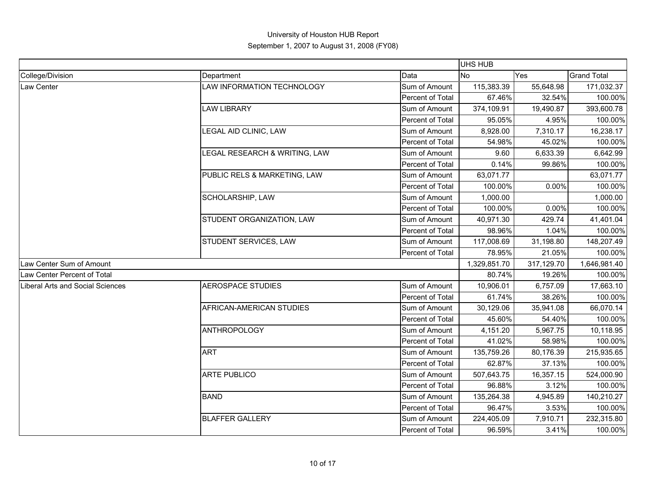|                                         |                               |                  | UHS HUB      |            |                    |
|-----------------------------------------|-------------------------------|------------------|--------------|------------|--------------------|
| College/Division                        | Department                    | Data             | <b>No</b>    | Yes        | <b>Grand Total</b> |
| Law Center                              | LAW INFORMATION TECHNOLOGY    | Sum of Amount    | 115,383.39   | 55,648.98  | 171,032.37         |
|                                         |                               | Percent of Total | 67.46%       | 32.54%     | 100.00%            |
|                                         | <b>LAW LIBRARY</b>            | Sum of Amount    | 374,109.91   | 19,490.87  | 393,600.78         |
|                                         |                               | Percent of Total | 95.05%       | 4.95%      | 100.00%            |
|                                         | LEGAL AID CLINIC, LAW         | Sum of Amount    | 8,928.00     | 7,310.17   | 16,238.17          |
|                                         |                               | Percent of Total | 54.98%       | 45.02%     | 100.00%            |
|                                         | LEGAL RESEARCH & WRITING, LAW | Sum of Amount    | 9.60         | 6,633.39   | 6,642.99           |
|                                         |                               | Percent of Total | 0.14%        | 99.86%     | 100.00%            |
|                                         | PUBLIC RELS & MARKETING, LAW  | Sum of Amount    | 63,071.77    |            | 63,071.77          |
|                                         |                               | Percent of Total | 100.00%      | 0.00%      | 100.00%            |
|                                         | SCHOLARSHIP, LAW              | Sum of Amount    | 1,000.00     |            | 1,000.00           |
|                                         |                               | Percent of Total | 100.00%      | 0.00%      | 100.00%            |
|                                         | STUDENT ORGANIZATION, LAW     | Sum of Amount    | 40,971.30    | 429.74     | 41,401.04          |
|                                         |                               | Percent of Total | 98.96%       | 1.04%      | 100.00%            |
|                                         | STUDENT SERVICES, LAW         | Sum of Amount    | 117,008.69   | 31,198.80  | 148,207.49         |
|                                         |                               | Percent of Total | 78.95%       | 21.05%     | 100.00%            |
| Law Center Sum of Amount                |                               |                  | 1,329,851.70 | 317,129.70 | 1,646,981.40       |
| Law Center Percent of Total             |                               |                  | 80.74%       | 19.26%     | 100.00%            |
| <b>Liberal Arts and Social Sciences</b> | AEROSPACE STUDIES             | Sum of Amount    | 10,906.01    | 6,757.09   | 17,663.10          |
|                                         |                               | Percent of Total | 61.74%       | 38.26%     | 100.00%            |
|                                         | AFRICAN-AMERICAN STUDIES      | Sum of Amount    | 30,129.06    | 35,941.08  | 66,070.14          |
|                                         |                               | Percent of Total | 45.60%       | 54.40%     | 100.00%            |
|                                         | <b>ANTHROPOLOGY</b>           | Sum of Amount    | 4,151.20     | 5,967.75   | 10,118.95          |
|                                         |                               | Percent of Total | 41.02%       | 58.98%     | 100.00%            |
|                                         | <b>ART</b>                    | Sum of Amount    | 135,759.26   | 80,176.39  | 215,935.65         |
|                                         |                               | Percent of Total | 62.87%       | 37.13%     | 100.00%            |
|                                         | <b>ARTE PUBLICO</b>           | Sum of Amount    | 507,643.75   | 16,357.15  | 524,000.90         |
|                                         |                               | Percent of Total | 96.88%       | 3.12%      | 100.00%            |
|                                         | <b>BAND</b>                   | Sum of Amount    | 135,264.38   | 4,945.89   | 140,210.27         |
|                                         |                               | Percent of Total | 96.47%       | 3.53%      | 100.00%            |
|                                         | <b>BLAFFER GALLERY</b>        | Sum of Amount    | 224,405.09   | 7,910.71   | 232,315.80         |
|                                         |                               | Percent of Total | 96.59%       | 3.41%      | 100.00%            |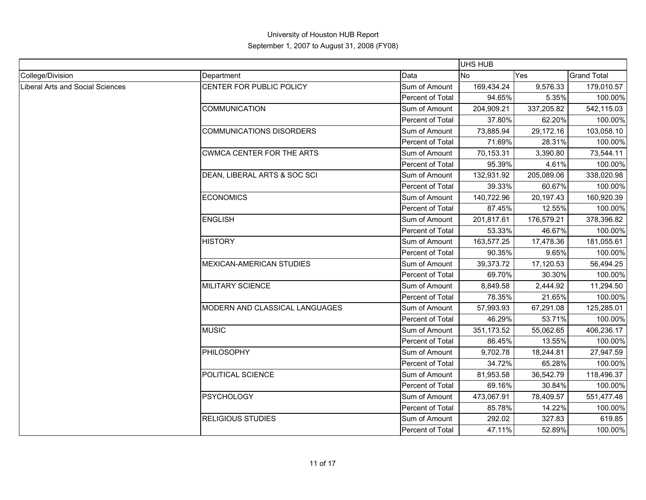|                                  |                                 |                  | <b>UHS HUB</b> |            |                    |
|----------------------------------|---------------------------------|------------------|----------------|------------|--------------------|
| College/Division                 | Department                      | Data             | <b>No</b>      | Yes        | <b>Grand Total</b> |
| Liberal Arts and Social Sciences | CENTER FOR PUBLIC POLICY        | Sum of Amount    | 169,434.24     | 9,576.33   | 179,010.57         |
|                                  |                                 | Percent of Total | 94.65%         | 5.35%      | 100.00%            |
|                                  | <b>COMMUNICATION</b>            | Sum of Amount    | 204,909.21     | 337,205.82 | 542,115.03         |
|                                  |                                 | Percent of Total | 37.80%         | 62.20%     | 100.00%            |
|                                  | <b>COMMUNICATIONS DISORDERS</b> | Sum of Amount    | 73,885.94      | 29,172.16  | 103,058.10         |
|                                  |                                 | Percent of Total | 71.69%         | 28.31%     | 100.00%            |
|                                  | CWMCA CENTER FOR THE ARTS       | Sum of Amount    | 70,153.31      | 3,390.80   | 73,544.11          |
|                                  |                                 | Percent of Total | 95.39%         | 4.61%      | 100.00%            |
|                                  | DEAN, LIBERAL ARTS & SOC SCI    | Sum of Amount    | 132,931.92     | 205,089.06 | 338,020.98         |
|                                  |                                 | Percent of Total | 39.33%         | 60.67%     | 100.00%            |
|                                  | <b>ECONOMICS</b>                | Sum of Amount    | 140,722.96     | 20,197.43  | 160,920.39         |
|                                  |                                 | Percent of Total | 87.45%         | 12.55%     | 100.00%            |
|                                  | <b>ENGLISH</b>                  | Sum of Amount    | 201,817.61     | 176,579.21 | 378,396.82         |
|                                  |                                 | Percent of Total | 53.33%         | 46.67%     | 100.00%            |
|                                  | <b>HISTORY</b>                  | Sum of Amount    | 163,577.25     | 17,478.36  | 181,055.61         |
|                                  |                                 | Percent of Total | 90.35%         | 9.65%      | 100.00%            |
|                                  | <b>MEXICAN-AMERICAN STUDIES</b> | Sum of Amount    | 39,373.72      | 17,120.53  | 56,494.25          |
|                                  |                                 | Percent of Total | 69.70%         | 30.30%     | 100.00%            |
|                                  | <b>MILITARY SCIENCE</b>         | Sum of Amount    | 8,849.58       | 2,444.92   | 11,294.50          |
|                                  |                                 | Percent of Total | 78.35%         | 21.65%     | 100.00%            |
|                                  | MODERN AND CLASSICAL LANGUAGES  | Sum of Amount    | 57,993.93      | 67,291.08  | 125,285.01         |
|                                  |                                 | Percent of Total | 46.29%         | 53.71%     | 100.00%            |
|                                  | <b>MUSIC</b>                    | Sum of Amount    | 351,173.52     | 55,062.65  | 406,236.17         |
|                                  |                                 | Percent of Total | 86.45%         | 13.55%     | 100.00%            |
|                                  | PHILOSOPHY                      | Sum of Amount    | 9,702.78       | 18,244.81  | 27,947.59          |
|                                  |                                 | Percent of Total | 34.72%         | 65.28%     | 100.00%            |
|                                  | POLITICAL SCIENCE               | Sum of Amount    | 81,953.58      | 36,542.79  | 118,496.37         |
|                                  |                                 | Percent of Total | 69.16%         | 30.84%     | 100.00%            |
|                                  | <b>PSYCHOLOGY</b>               | Sum of Amount    | 473,067.91     | 78,409.57  | 551,477.48         |
|                                  |                                 | Percent of Total | 85.78%         | 14.22%     | 100.00%            |
|                                  | <b>RELIGIOUS STUDIES</b>        | Sum of Amount    | 292.02         | 327.83     | 619.85             |
|                                  |                                 | Percent of Total | 47.11%         | 52.89%     | 100.00%            |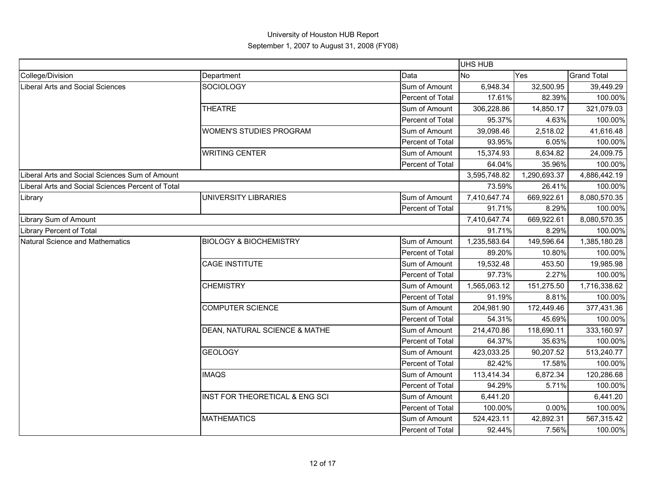|                                                   |                                   |                         | UHS HUB      |              |                    |
|---------------------------------------------------|-----------------------------------|-------------------------|--------------|--------------|--------------------|
| College/Division                                  | Department                        | Data                    | <b>No</b>    | Yes          | <b>Grand Total</b> |
| <b>Liberal Arts and Social Sciences</b>           | <b>SOCIOLOGY</b>                  | Sum of Amount           | 6,948.34     | 32,500.95    | 39,449.29          |
|                                                   |                                   | <b>Percent of Total</b> | 17.61%       | 82.39%       | 100.00%            |
|                                                   | <b>THEATRE</b>                    | Sum of Amount           | 306,228.86   | 14,850.17    | 321,079.03         |
|                                                   |                                   | Percent of Total        | 95.37%       | 4.63%        | 100.00%            |
|                                                   | <b>WOMEN'S STUDIES PROGRAM</b>    | Sum of Amount           | 39,098.46    | 2,518.02     | 41,616.48          |
|                                                   |                                   | Percent of Total        | 93.95%       | 6.05%        | 100.00%            |
|                                                   | <b>WRITING CENTER</b>             | Sum of Amount           | 15,374.93    | 8,634.82     | 24,009.75          |
|                                                   |                                   | Percent of Total        | 64.04%       | 35.96%       | 100.00%            |
| Liberal Arts and Social Sciences Sum of Amount    |                                   |                         | 3,595,748.82 | 1,290,693.37 | 4,886,442.19       |
| Liberal Arts and Social Sciences Percent of Total |                                   |                         | 73.59%       | 26.41%       | 100.00%            |
| Library                                           | UNIVERSITY LIBRARIES              | Sum of Amount           | 7,410,647.74 | 669,922.61   | 8,080,570.35       |
|                                                   |                                   | Percent of Total        | 91.71%       | 8.29%        | 100.00%            |
| Library Sum of Amount                             |                                   |                         | 7,410,647.74 | 669,922.61   | 8,080,570.35       |
| <b>Library Percent of Total</b>                   |                                   |                         | 91.71%       | 8.29%        | 100.00%            |
| Natural Science and Mathematics                   | <b>BIOLOGY &amp; BIOCHEMISTRY</b> | Sum of Amount           | 1,235,583.64 | 149,596.64   | 1,385,180.28       |
|                                                   |                                   | Percent of Total        | 89.20%       | 10.80%       | 100.00%            |
|                                                   | <b>CAGE INSTITUTE</b>             | Sum of Amount           | 19,532.48    | 453.50       | 19,985.98          |
|                                                   |                                   | Percent of Total        | 97.73%       | 2.27%        | 100.00%            |
|                                                   | <b>CHEMISTRY</b>                  | Sum of Amount           | 1,565,063.12 | 151,275.50   | 1,716,338.62       |
|                                                   |                                   | Percent of Total        | 91.19%       | 8.81%        | 100.00%            |
|                                                   | <b>COMPUTER SCIENCE</b>           | Sum of Amount           | 204,981.90   | 172,449.46   | 377,431.36         |
|                                                   |                                   | Percent of Total        | 54.31%       | 45.69%       | 100.00%            |
|                                                   | DEAN, NATURAL SCIENCE & MATHE     | Sum of Amount           | 214,470.86   | 118,690.11   | 333,160.97         |
|                                                   |                                   | Percent of Total        | 64.37%       | 35.63%       | 100.00%            |
|                                                   | <b>GEOLOGY</b>                    | Sum of Amount           | 423,033.25   | 90,207.52    | 513,240.77         |
|                                                   |                                   | Percent of Total        | 82.42%       | 17.58%       | 100.00%            |
|                                                   | <b>IMAQS</b>                      | Sum of Amount           | 113,414.34   | 6,872.34     | 120,286.68         |
|                                                   |                                   | Percent of Total        | 94.29%       | 5.71%        | 100.00%            |
|                                                   | INST FOR THEORETICAL & ENG SCI    | Sum of Amount           | 6,441.20     |              | 6,441.20           |
|                                                   |                                   | Percent of Total        | 100.00%      | 0.00%        | 100.00%            |
|                                                   | <b>MATHEMATICS</b>                | Sum of Amount           | 524,423.11   | 42,892.31    | 567,315.42         |
|                                                   |                                   | Percent of Total        | 92.44%       | 7.56%        | 100.00%            |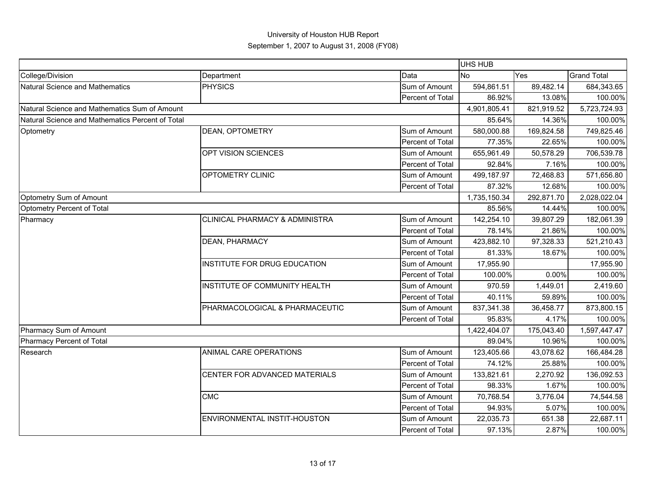|                                                  |                                           |                  | UHS HUB      |              |                    |
|--------------------------------------------------|-------------------------------------------|------------------|--------------|--------------|--------------------|
| College/Division                                 | Department                                | Data             | No           | Yes          | <b>Grand Total</b> |
| Natural Science and Mathematics                  | <b>PHYSICS</b>                            | Sum of Amount    | 594,861.51   | 89,482.14    | 684,343.65         |
|                                                  |                                           | Percent of Total | 86.92%       | 13.08%       | 100.00%            |
| Natural Science and Mathematics Sum of Amount    |                                           | 4,901,805.41     | 821,919.52   | 5,723,724.93 |                    |
| Natural Science and Mathematics Percent of Total |                                           |                  | 85.64%       | 14.36%       | 100.00%            |
| Optometry                                        | DEAN, OPTOMETRY                           | Sum of Amount    | 580,000.88   | 169,824.58   | 749,825.46         |
|                                                  |                                           | Percent of Total | 77.35%       | 22.65%       | 100.00%            |
|                                                  | OPT VISION SCIENCES                       | Sum of Amount    | 655,961.49   | 50,578.29    | 706,539.78         |
|                                                  |                                           | Percent of Total | 92.84%       | 7.16%        | 100.00%            |
|                                                  | OPTOMETRY CLINIC                          | Sum of Amount    | 499,187.97   | 72,468.83    | 571,656.80         |
|                                                  |                                           | Percent of Total | 87.32%       | 12.68%       | 100.00%            |
| Optometry Sum of Amount                          |                                           |                  | 1,735,150.34 | 292,871.70   | 2,028,022.04       |
| Optometry Percent of Total                       |                                           |                  | 85.56%       | 14.44%       | 100.00%            |
| Pharmacy                                         | <b>CLINICAL PHARMACY &amp; ADMINISTRA</b> | Sum of Amount    | 142,254.10   | 39,807.29    | 182,061.39         |
|                                                  |                                           | Percent of Total | 78.14%       | 21.86%       | 100.00%            |
|                                                  | DEAN, PHARMACY                            | Sum of Amount    | 423,882.10   | 97,328.33    | 521,210.43         |
|                                                  |                                           | Percent of Total | 81.33%       | 18.67%       | 100.00%            |
|                                                  | INSTITUTE FOR DRUG EDUCATION              | Sum of Amount    | 17,955.90    |              | 17,955.90          |
|                                                  |                                           | Percent of Total | 100.00%      | 0.00%        | 100.00%            |
|                                                  | INSTITUTE OF COMMUNITY HEALTH             | Sum of Amount    | 970.59       | 1,449.01     | 2,419.60           |
|                                                  |                                           | Percent of Total | 40.11%       | 59.89%       | 100.00%            |
|                                                  | PHARMACOLOGICAL & PHARMACEUTIC            | Sum of Amount    | 837,341.38   | 36,458.77    | 873,800.15         |
|                                                  |                                           | Percent of Total | 95.83%       | 4.17%        | 100.00%            |
| Pharmacy Sum of Amount                           |                                           |                  | 1,422,404.07 | 175,043.40   | 1,597,447.47       |
| Pharmacy Percent of Total                        |                                           |                  | 89.04%       | 10.96%       | 100.00%            |
| Research                                         | ANIMAL CARE OPERATIONS                    | Sum of Amount    | 123,405.66   | 43,078.62    | 166,484.28         |
|                                                  |                                           | Percent of Total | 74.12%       | 25.88%       | 100.00%            |
|                                                  | CENTER FOR ADVANCED MATERIALS             | Sum of Amount    | 133,821.61   | 2,270.92     | 136,092.53         |
|                                                  |                                           | Percent of Total | 98.33%       | 1.67%        | 100.00%            |
|                                                  | CMC                                       | Sum of Amount    | 70,768.54    | 3,776.04     | 74,544.58          |
|                                                  |                                           | Percent of Total | 94.93%       | 5.07%        | 100.00%            |
|                                                  | ENVIRONMENTAL INSTIT-HOUSTON              | Sum of Amount    | 22,035.73    | 651.38       | 22,687.11          |
|                                                  |                                           | Percent of Total | 97.13%       | 2.87%        | 100.00%            |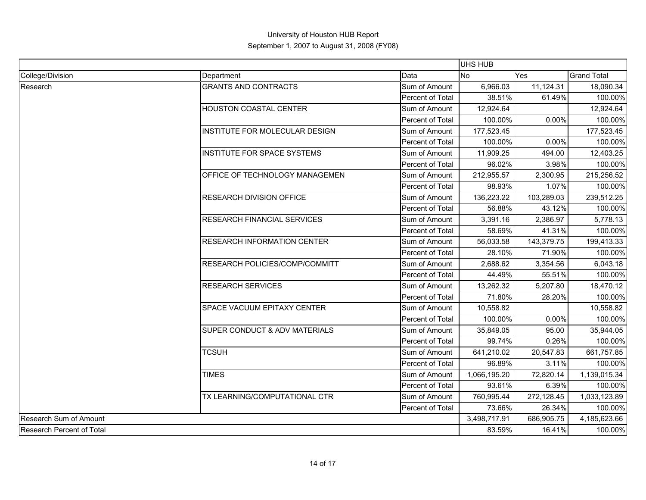|                           |                                          |                  | UHS HUB      |            |                                            |
|---------------------------|------------------------------------------|------------------|--------------|------------|--------------------------------------------|
| College/Division          | Department                               | Data             | <b>No</b>    | Yes        | <b>Grand Total</b>                         |
| Research                  | <b>GRANTS AND CONTRACTS</b>              | Sum of Amount    | 6,966.03     | 11,124.31  | 18,090.34                                  |
|                           |                                          | Percent of Total | 38.51%       | 61.49%     | 100.00%                                    |
|                           | <b>HOUSTON COASTAL CENTER</b>            | Sum of Amount    | 12,924.64    |            | 12,924.64                                  |
|                           |                                          | Percent of Total | 100.00%      | 0.00%      | 100.00%                                    |
|                           | INSTITUTE FOR MOLECULAR DESIGN           | Sum of Amount    | 177,523.45   |            | 177,523.45                                 |
|                           |                                          | Percent of Total | 100.00%      | 0.00%      | 100.00%                                    |
|                           | <b>INSTITUTE FOR SPACE SYSTEMS</b>       | Sum of Amount    | 11,909.25    | 494.00     | 12,403.25                                  |
|                           |                                          | Percent of Total | 96.02%       | 3.98%      | 100.00%                                    |
|                           | OFFICE OF TECHNOLOGY MANAGEMEN           | Sum of Amount    | 212,955.57   | 2,300.95   | 215,256.52                                 |
|                           |                                          | Percent of Total | 98.93%       | 1.07%      | 100.00%                                    |
|                           | <b>RESEARCH DIVISION OFFICE</b>          | Sum of Amount    | 136,223.22   | 103,289.03 | 239,512.25                                 |
|                           |                                          | Percent of Total | 56.88%       | 43.12%     | 100.00%                                    |
|                           | <b>RESEARCH FINANCIAL SERVICES</b>       | Sum of Amount    | 3,391.16     | 2,386.97   | 5,778.13                                   |
|                           |                                          | Percent of Total | 58.69%       | 41.31%     |                                            |
|                           | <b>RESEARCH INFORMATION CENTER</b>       | Sum of Amount    | 56,033.58    | 143,379.75 | 100.00%<br>199,413.33<br>71.90%<br>100.00% |
|                           |                                          | Percent of Total | 28.10%       |            |                                            |
|                           | RESEARCH POLICIES/COMP/COMMITT           | Sum of Amount    | 2,688.62     | 3,354.56   | 6,043.18                                   |
|                           |                                          | Percent of Total | 44.49%       | 55.51%     | 100.00%                                    |
|                           | <b>RESEARCH SERVICES</b>                 | Sum of Amount    | 13,262.32    | 5,207.80   | 18,470.12                                  |
|                           |                                          | Percent of Total | 71.80%       | 28.20%     | 100.00%                                    |
|                           | SPACE VACUUM EPITAXY CENTER              | Sum of Amount    | 10,558.82    |            | 10,558.82                                  |
|                           |                                          | Percent of Total | 100.00%      | 0.00%      | 100.00%                                    |
|                           | <b>SUPER CONDUCT &amp; ADV MATERIALS</b> | Sum of Amount    | 35,849.05    | 95.00      | 35,944.05                                  |
|                           |                                          | Percent of Total | 99.74%       | 0.26%      | 100.00%                                    |
|                           | <b>TCSUH</b>                             | Sum of Amount    | 641,210.02   | 20,547.83  | 661,757.85                                 |
|                           |                                          | Percent of Total | 96.89%       | 3.11%      | 100.00%                                    |
|                           | <b>TIMES</b>                             | Sum of Amount    | 1,066,195.20 | 72,820.14  | 1,139,015.34                               |
|                           |                                          | Percent of Total | 93.61%       | 6.39%      | 100.00%                                    |
|                           | TX LEARNING/COMPUTATIONAL CTR            | Sum of Amount    | 760,995.44   | 272,128.45 | 1,033,123.89                               |
|                           |                                          | Percent of Total | 73.66%       | 26.34%     | 100.00%                                    |
| Research Sum of Amount    |                                          |                  | 3,498,717.91 | 686,905.75 | 4,185,623.66                               |
| Research Percent of Total |                                          | 83.59%           | 16.41%       | 100.00%    |                                            |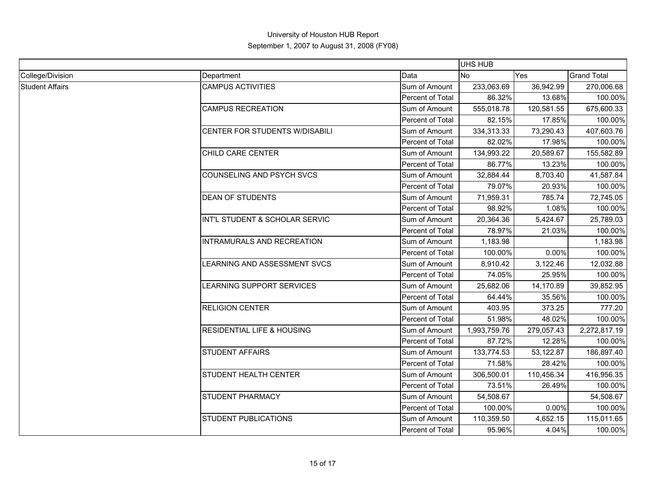| College/Division       | Department                            | Data                    | No           | Yes        | <b>Grand Total</b>                                                                                                                                                                                                                                                                                                                                                                                                                   |  |
|------------------------|---------------------------------------|-------------------------|--------------|------------|--------------------------------------------------------------------------------------------------------------------------------------------------------------------------------------------------------------------------------------------------------------------------------------------------------------------------------------------------------------------------------------------------------------------------------------|--|
| <b>Student Affairs</b> | <b>CAMPUS ACTIVITIES</b>              | Sum of Amount           | 233,063.69   | 36,942.99  | 270,006.68                                                                                                                                                                                                                                                                                                                                                                                                                           |  |
|                        |                                       | <b>Percent of Total</b> | 86.32%       | 13.68%     | 100.00%                                                                                                                                                                                                                                                                                                                                                                                                                              |  |
|                        | <b>CAMPUS RECREATION</b>              | Sum of Amount           | 555,018.78   | 120,581.55 | 675,600.33                                                                                                                                                                                                                                                                                                                                                                                                                           |  |
|                        |                                       | Percent of Total        | 82.15%       | 17.85%     | 100.00%                                                                                                                                                                                                                                                                                                                                                                                                                              |  |
|                        | CENTER FOR STUDENTS W/DISABILI        | Sum of Amount           | 334,313.33   | 73,290.43  | 407,603.76                                                                                                                                                                                                                                                                                                                                                                                                                           |  |
|                        |                                       | Percent of Total        | 82.02%       | 17.98%     | 100.00%                                                                                                                                                                                                                                                                                                                                                                                                                              |  |
|                        | CHILD CARE CENTER                     | Sum of Amount           | 134,993.22   | 20,589.67  | 155,582.89                                                                                                                                                                                                                                                                                                                                                                                                                           |  |
|                        |                                       | Percent of Total        | 86.77%       | 13.23%     | 100.00%                                                                                                                                                                                                                                                                                                                                                                                                                              |  |
|                        | <b>COUNSELING AND PSYCH SVCS</b>      | Sum of Amount           | 32,884.44    | 8,703.40   | 41,587.84                                                                                                                                                                                                                                                                                                                                                                                                                            |  |
|                        |                                       | Percent of Total        | 79.07%       | 20.93%     | 100.00%                                                                                                                                                                                                                                                                                                                                                                                                                              |  |
|                        | <b>DEAN OF STUDENTS</b>               | Sum of Amount           | 71,959.31    | 785.74     | 72,745.05<br>1.08%<br>100.00%<br>5,424.67<br>25,789.03<br>21.03%<br>100.00%<br>1,183.98<br>0.00%<br>100.00%<br>3,122.46<br>12,032.88<br>25.95%<br>100.00%<br>39,852.95<br>14,170.89<br>35.56%<br>100.00%<br>373.25<br>777.20<br>48.02%<br>100.00%<br>2,272,817.19<br>12.28%<br>100.00%<br>53,122.87<br>186,897.40<br>28.42%<br>100.00%<br>416,956.35<br>100.00%<br>26.49%<br>54,508.67<br>0.00%<br>100.00%<br>115,011.65<br>4,652.15 |  |
|                        |                                       | Percent of Total        | 98.92%       |            |                                                                                                                                                                                                                                                                                                                                                                                                                                      |  |
|                        | INT'L STUDENT & SCHOLAR SERVIC        | Sum of Amount           | 20,364.36    |            |                                                                                                                                                                                                                                                                                                                                                                                                                                      |  |
|                        |                                       | Percent of Total        | 78.97%       |            |                                                                                                                                                                                                                                                                                                                                                                                                                                      |  |
|                        | INTRAMURALS AND RECREATION            | Sum of Amount           | 1,183.98     |            |                                                                                                                                                                                                                                                                                                                                                                                                                                      |  |
|                        |                                       | Percent of Total        | 100.00%      |            |                                                                                                                                                                                                                                                                                                                                                                                                                                      |  |
|                        | LEARNING AND ASSESSMENT SVCS          | Sum of Amount           | 8,910.42     |            |                                                                                                                                                                                                                                                                                                                                                                                                                                      |  |
|                        |                                       | Percent of Total        | 74.05%       |            |                                                                                                                                                                                                                                                                                                                                                                                                                                      |  |
|                        | LEARNING SUPPORT SERVICES             | Sum of Amount           | 25,682.06    |            |                                                                                                                                                                                                                                                                                                                                                                                                                                      |  |
|                        |                                       | Percent of Total        | 64.44%       |            |                                                                                                                                                                                                                                                                                                                                                                                                                                      |  |
|                        | <b>RELIGION CENTER</b>                | Sum of Amount           | 403.95       |            |                                                                                                                                                                                                                                                                                                                                                                                                                                      |  |
|                        |                                       | Percent of Total        | 51.98%       |            |                                                                                                                                                                                                                                                                                                                                                                                                                                      |  |
|                        | <b>RESIDENTIAL LIFE &amp; HOUSING</b> | Sum of Amount           | 1,993,759.76 | 279,057.43 |                                                                                                                                                                                                                                                                                                                                                                                                                                      |  |
|                        |                                       | Percent of Total        | 87.72%       |            |                                                                                                                                                                                                                                                                                                                                                                                                                                      |  |
|                        | <b>STUDENT AFFAIRS</b>                | Sum of Amount           | 133,774.53   |            |                                                                                                                                                                                                                                                                                                                                                                                                                                      |  |
|                        |                                       | Percent of Total        | 71.58%       |            |                                                                                                                                                                                                                                                                                                                                                                                                                                      |  |
|                        | STUDENT HEALTH CENTER                 | Sum of Amount           | 306,500.01   | 110,456.34 |                                                                                                                                                                                                                                                                                                                                                                                                                                      |  |
|                        |                                       | Percent of Total        | 73.51%       |            |                                                                                                                                                                                                                                                                                                                                                                                                                                      |  |
|                        | <b>STUDENT PHARMACY</b>               | Sum of Amount           | 54,508.67    |            |                                                                                                                                                                                                                                                                                                                                                                                                                                      |  |
|                        |                                       | Percent of Total        | 100.00%      |            |                                                                                                                                                                                                                                                                                                                                                                                                                                      |  |
|                        | <b>STUDENT PUBLICATIONS</b>           | Sum of Amount           | 110,359.50   |            |                                                                                                                                                                                                                                                                                                                                                                                                                                      |  |
|                        |                                       | Percent of Total        | 95.96%       | 4.04%      | 100.00%                                                                                                                                                                                                                                                                                                                                                                                                                              |  |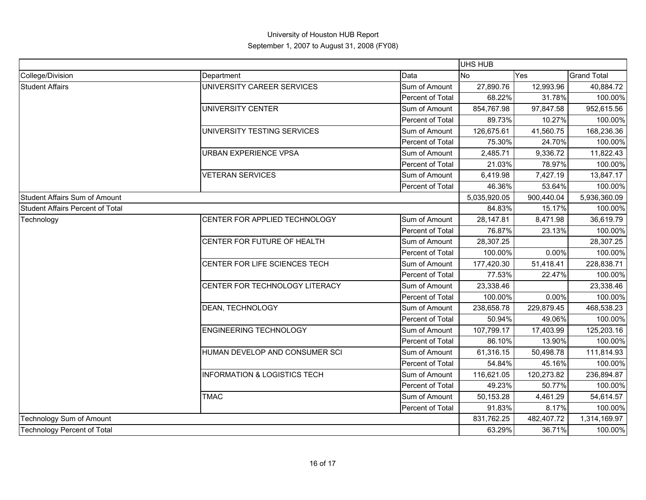|                                  |                                         |                  | UHS HUB      |            |                    |
|----------------------------------|-----------------------------------------|------------------|--------------|------------|--------------------|
| College/Division                 | Department                              | Data             | <b>No</b>    | Yes        | <b>Grand Total</b> |
| <b>Student Affairs</b>           | UNIVERSITY CAREER SERVICES              | Sum of Amount    | 27,890.76    | 12,993.96  | 40,884.72          |
|                                  |                                         | Percent of Total | 68.22%       | 31.78%     | 100.00%            |
|                                  | <b>UNIVERSITY CENTER</b>                | Sum of Amount    | 854,767.98   | 97,847.58  | 952,615.56         |
|                                  |                                         | Percent of Total | 89.73%       | 10.27%     | 100.00%            |
|                                  | UNIVERSITY TESTING SERVICES             | Sum of Amount    | 126,675.61   | 41,560.75  | 168,236.36         |
|                                  |                                         | Percent of Total | 75.30%       | 24.70%     | 100.00%            |
|                                  | <b>URBAN EXPERIENCE VPSA</b>            | Sum of Amount    | 2,485.71     | 9,336.72   | 11,822.43          |
|                                  |                                         | Percent of Total | 21.03%       | 78.97%     | 100.00%            |
|                                  | <b>VETERAN SERVICES</b>                 | Sum of Amount    | 6,419.98     | 7,427.19   | 13,847.17          |
|                                  |                                         | Percent of Total | 46.36%       | 53.64%     | 100.00%            |
| Student Affairs Sum of Amount    |                                         |                  | 5,035,920.05 | 900,440.04 | 5,936,360.09       |
| Student Affairs Percent of Total |                                         |                  | 84.83%       | 15.17%     | 100.00%            |
| Technology                       | CENTER FOR APPLIED TECHNOLOGY           | Sum of Amount    | 28,147.81    | 8,471.98   | 36,619.79          |
|                                  |                                         | Percent of Total | 76.87%       | 23.13%     | 100.00%            |
|                                  | CENTER FOR FUTURE OF HEALTH             | Sum of Amount    | 28,307.25    |            | 28,307.25          |
|                                  |                                         | Percent of Total | 100.00%      | 0.00%      | 100.00%            |
|                                  | CENTER FOR LIFE SCIENCES TECH           | Sum of Amount    | 177,420.30   | 51,418.41  | 228,838.71         |
|                                  |                                         | Percent of Total | 77.53%       | 22.47%     | 100.00%            |
|                                  | CENTER FOR TECHNOLOGY LITERACY          | Sum of Amount    | 23,338.46    |            | 23,338.46          |
|                                  |                                         | Percent of Total | 100.00%      | 0.00%      | 100.00%            |
|                                  | DEAN, TECHNOLOGY                        | Sum of Amount    | 238,658.78   | 229,879.45 | 468,538.23         |
|                                  |                                         | Percent of Total | 50.94%       | 49.06%     | 100.00%            |
|                                  | <b>ENGINEERING TECHNOLOGY</b>           | Sum of Amount    | 107,799.17   | 17,403.99  | 125,203.16         |
|                                  |                                         | Percent of Total | 86.10%       | 13.90%     | 100.00%            |
|                                  | HUMAN DEVELOP AND CONSUMER SCI          | Sum of Amount    | 61,316.15    | 50,498.78  | 111,814.93         |
|                                  |                                         | Percent of Total | 54.84%       | 45.16%     | 100.00%            |
|                                  | <b>INFORMATION &amp; LOGISTICS TECH</b> | Sum of Amount    | 116,621.05   | 120,273.82 | 236,894.87         |
|                                  |                                         | Percent of Total | 49.23%       | 50.77%     | 100.00%            |
|                                  | <b>TMAC</b>                             | Sum of Amount    | 50,153.28    | 4,461.29   | 54,614.57          |
|                                  |                                         | Percent of Total | 91.83%       | 8.17%      | 100.00%            |
| Technology Sum of Amount         |                                         |                  | 831,762.25   | 482,407.72 | 1,314,169.97       |
| Technology Percent of Total      |                                         | 63.29%           | 36.71%       | 100.00%    |                    |